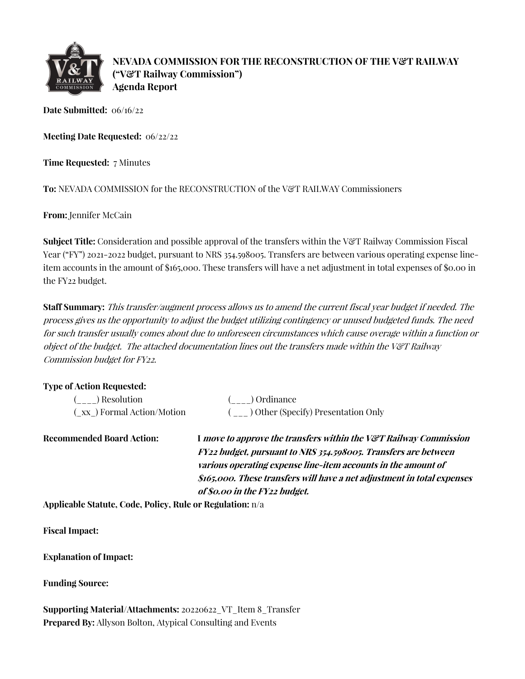

**NEVADA COMMISSION FOR THE RECONSTRUCTION OF THE V&T RAILWAY ("V&T Railway Commission") Agenda Report**

**Date Submitted:** 06/16/22

**Meeting Date Requested:** 06/22/22

**Time Requested:** 7 Minutes

To: NEVADA COMMISSION for the RECONSTRUCTION of the V&T RAILWAY Commissioners

**From:** Jennifer McCain

**Subject Title:** Consideration and possible approval of the transfers within the V&T Railway Commission Fiscal Year ("FY") 2021-2022 budget, pursuant to NRS 354.598005. Transfers are between various operating expense lineitem accounts in the amount of \$165,000. These transfers will have a net adjustment in total expenses of \$0.00 in the FY22 budget.

**Staff Summary:** This transfer/augment process allows us to amend the current fiscal year budget if needed. The process gives us the opportunity to adjust the budget utilizing contingency or unused budgeted funds. The need for such transfer usually comes about due to unforeseen circumstances which cause overage within a function or object of the budget. The attached documentation lines out the transfers made within the V&T Railway Commission budget for FY22.

## **Type of Action Requested:**

| ( ) Resolution            | ( ) Ordinance                         |
|---------------------------|---------------------------------------|
| (xx) Formal Action/Motion | ( ) Other (Specify) Presentation Only |

**Recommended Board Action: I move to approve the transfers within the V&T Railway Commission FY22 budget, pursuant to NRS 354.598005. Transfers are between various operating expense line-item accounts in the amount of \$165,000. These transfers will have a net adjustment in total expenses of \$0.00 in the FY22 budget.**

**Applicable Statute, Code, Policy, Rule or Regulation:** n/a

**Fiscal Impact:**

**Explanation of Impact:**

**Funding Source:**

**Supporting Material/Attachments:** 20220622\_VT\_Item 8\_Transfer **Prepared By:** Allyson Bolton, Atypical Consulting and Events